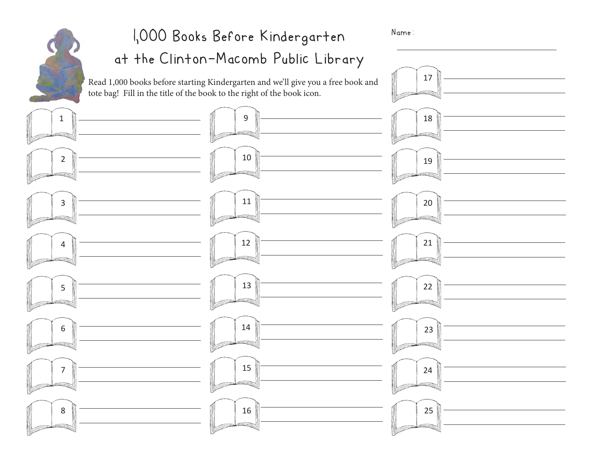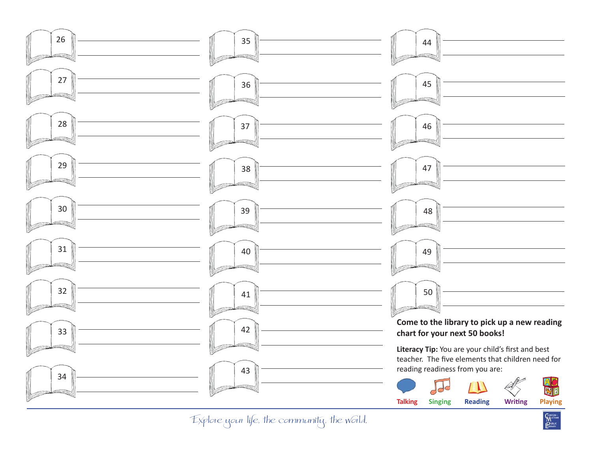

**TANTON**<br>MACONE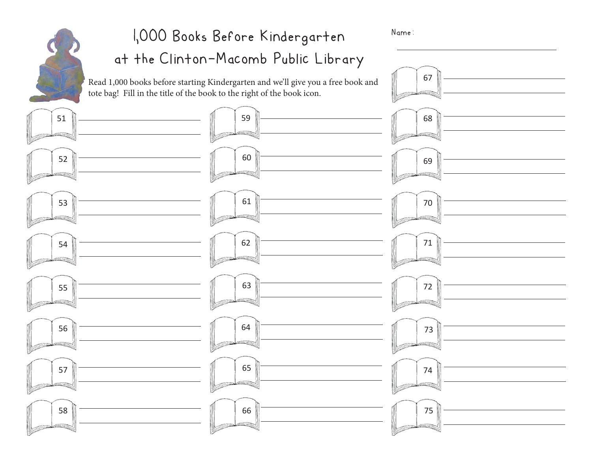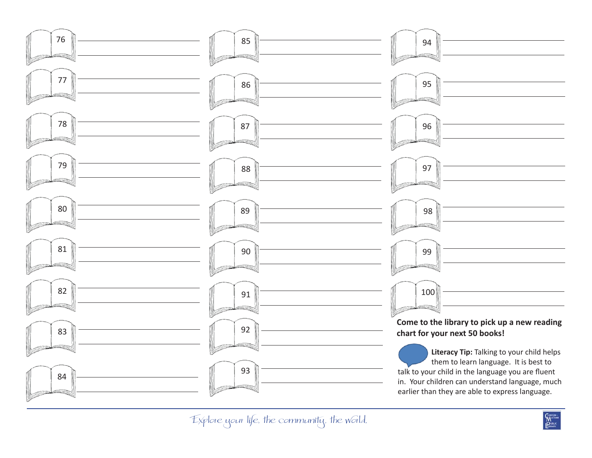

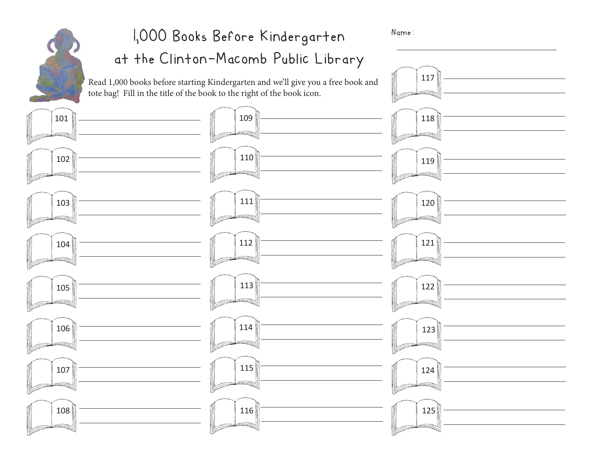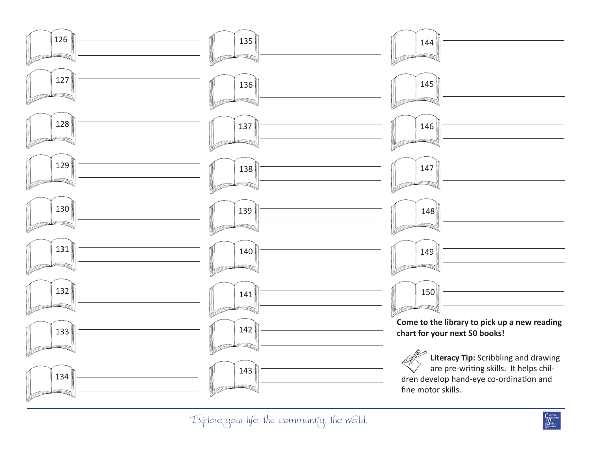

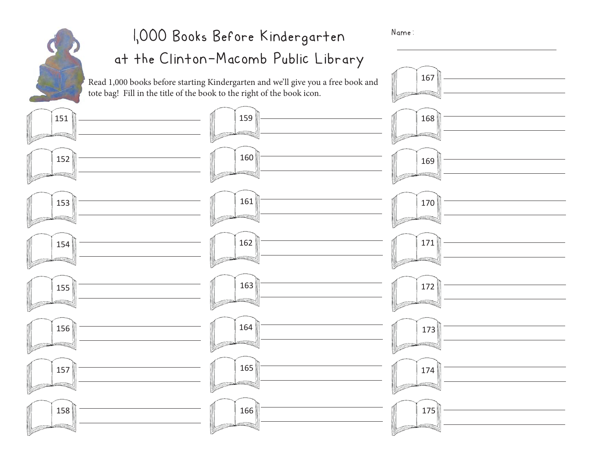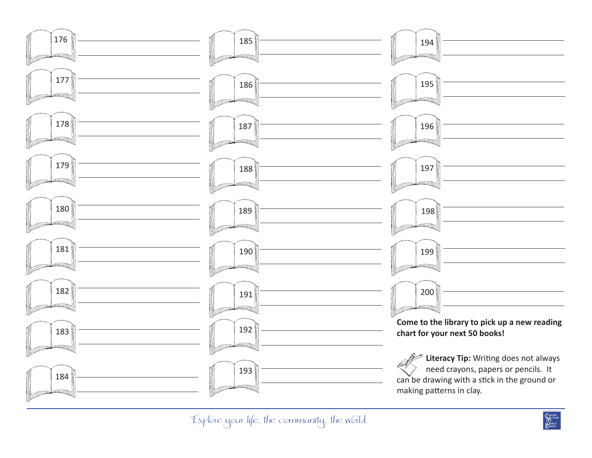

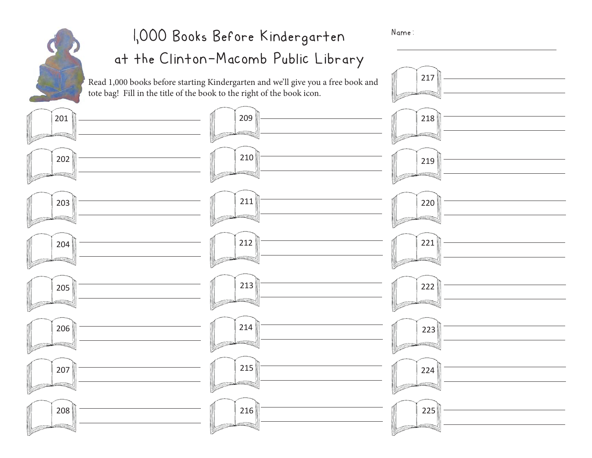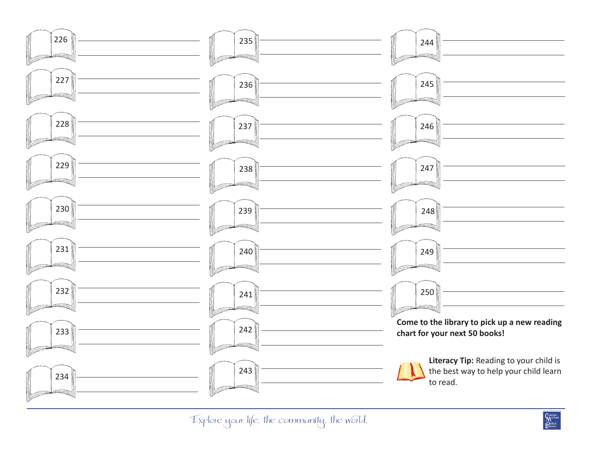

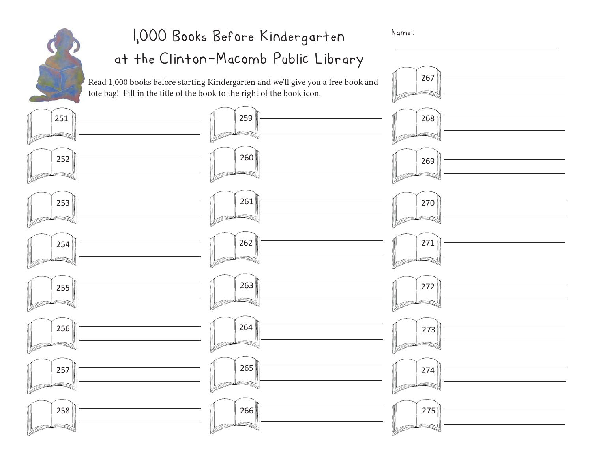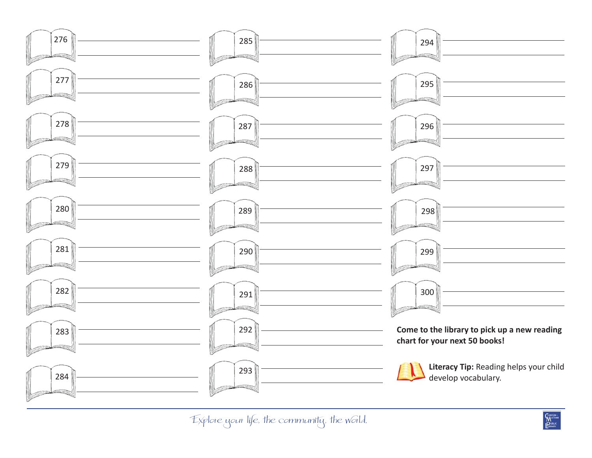

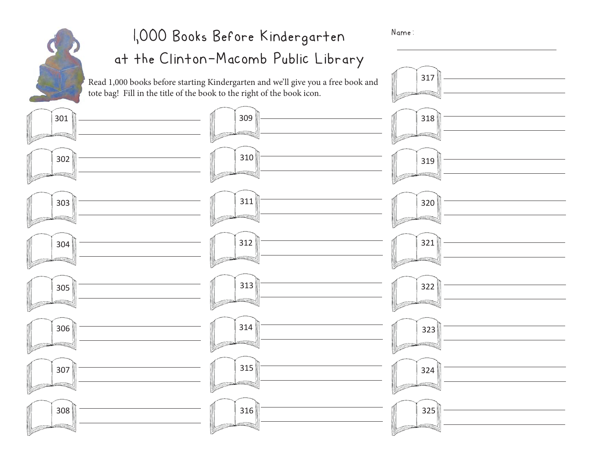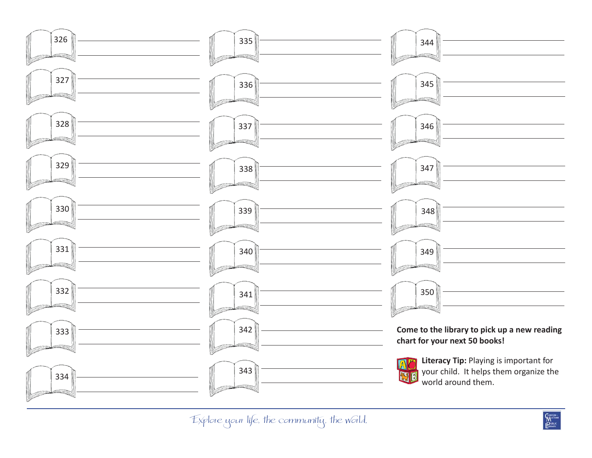

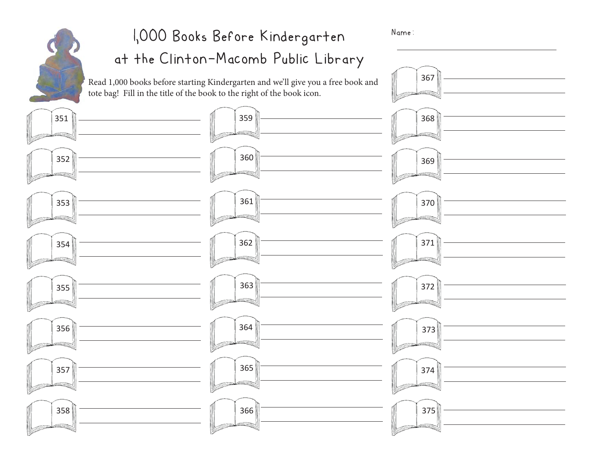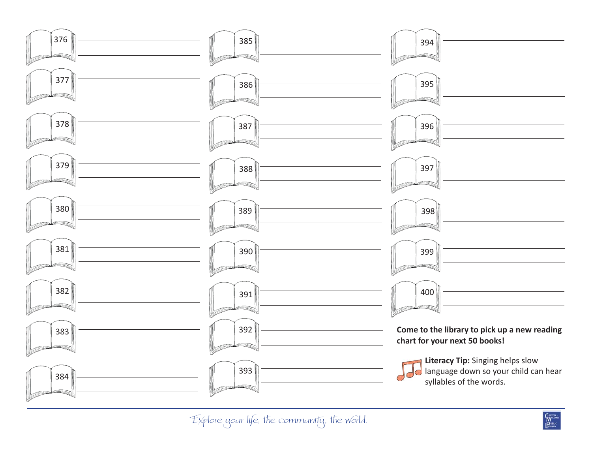

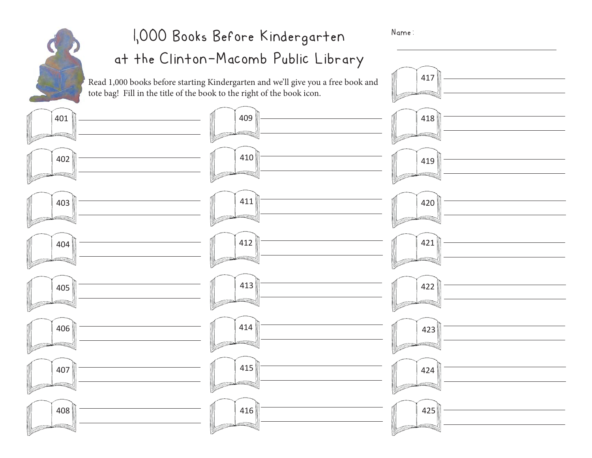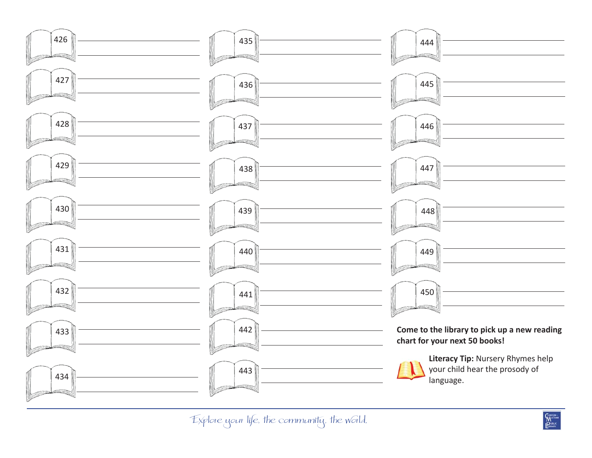

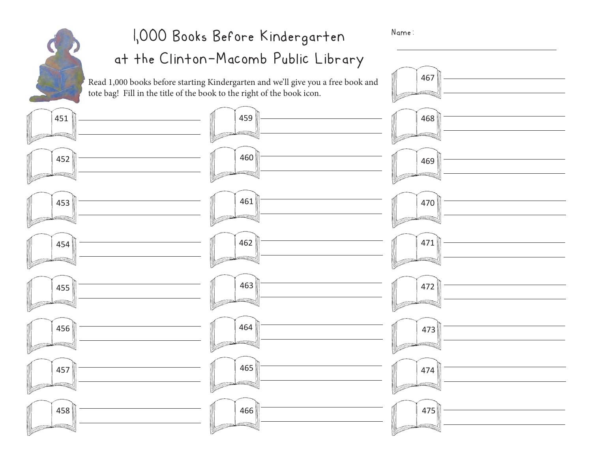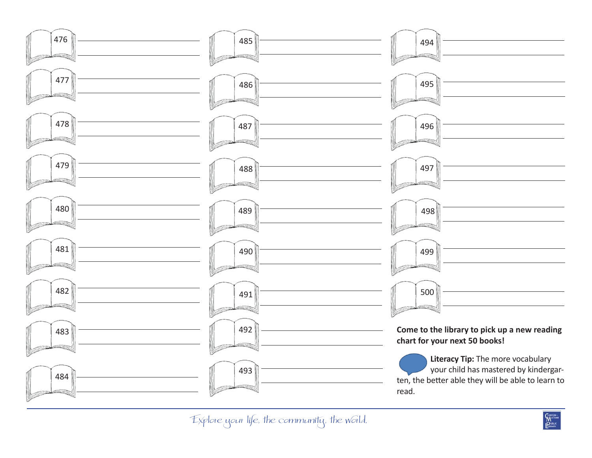

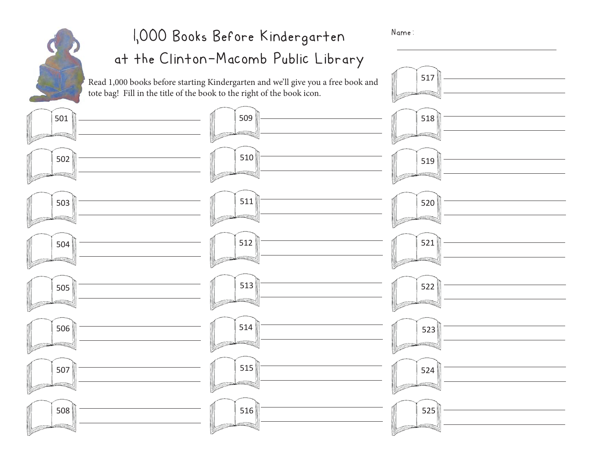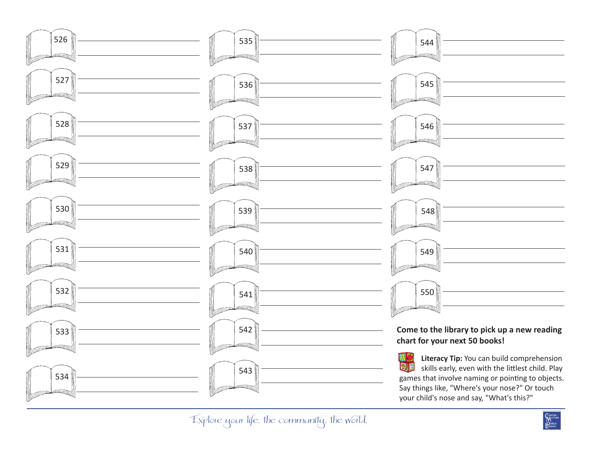

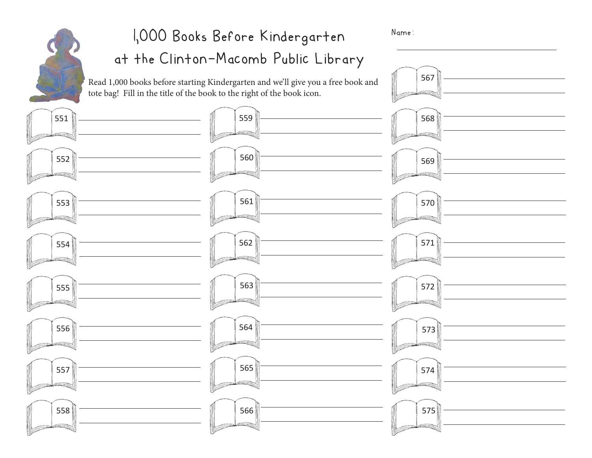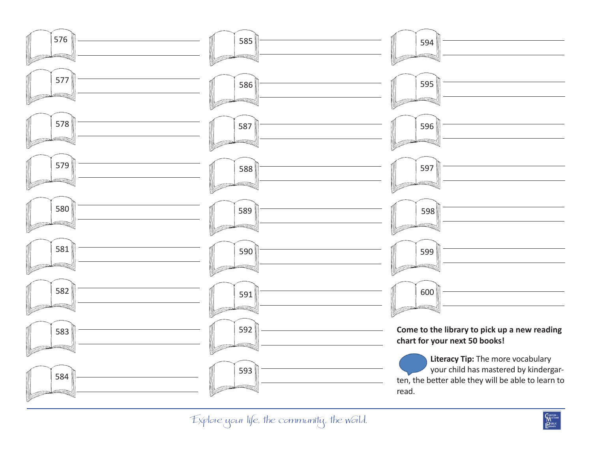

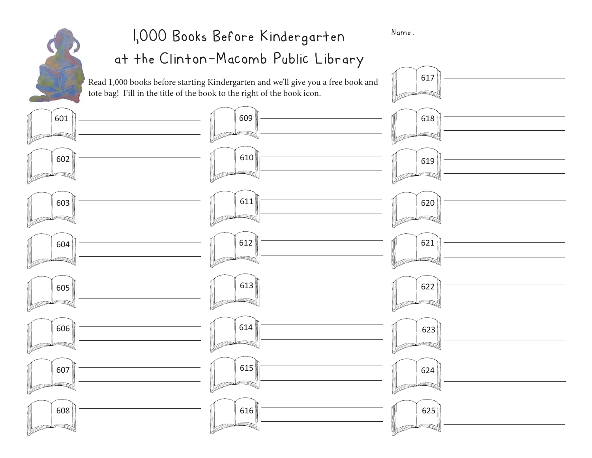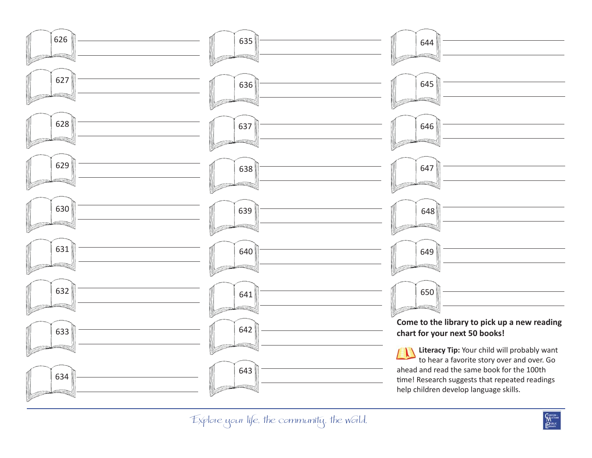

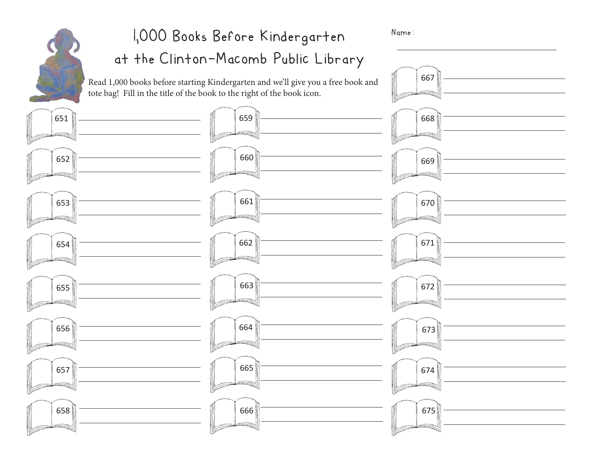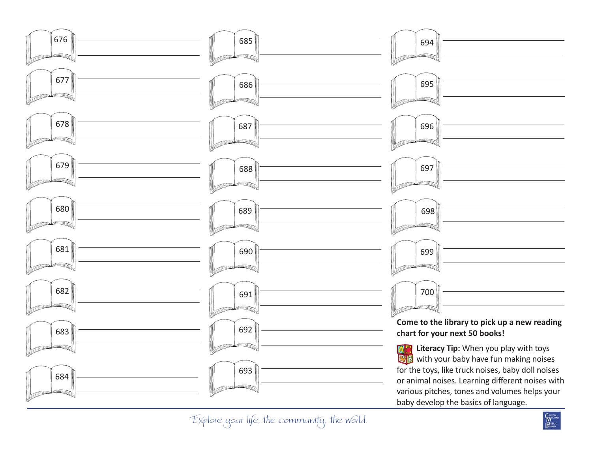

Explore your life, the community, the world.

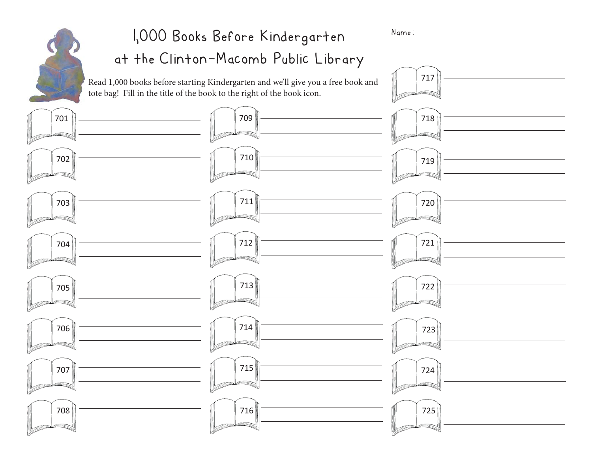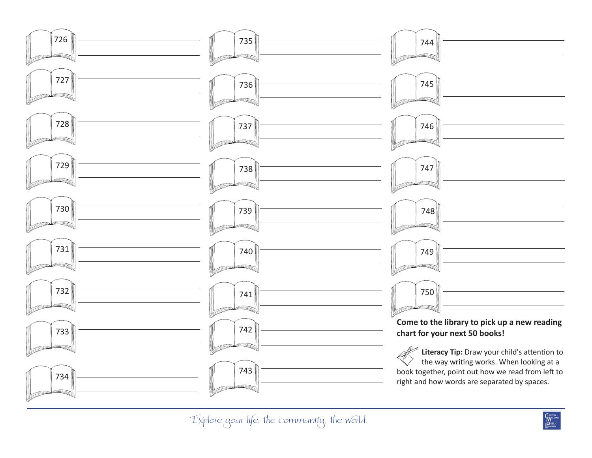

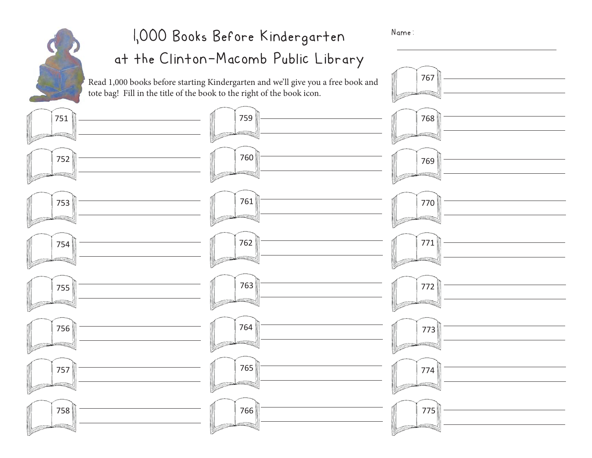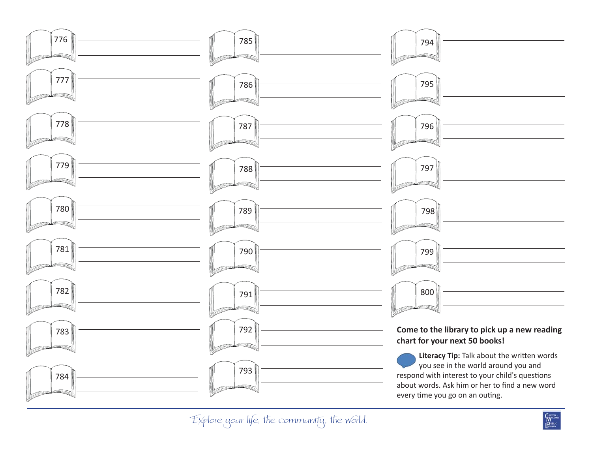

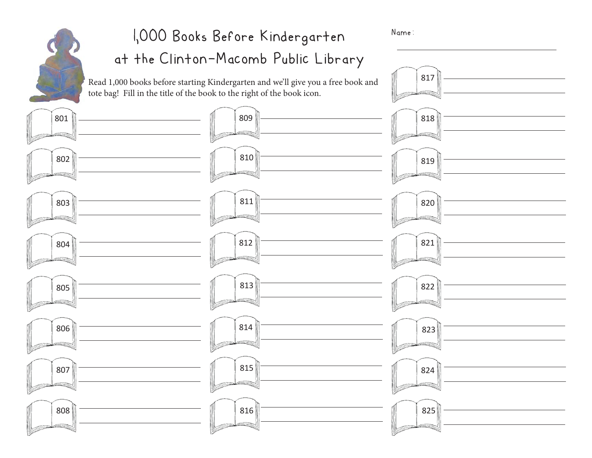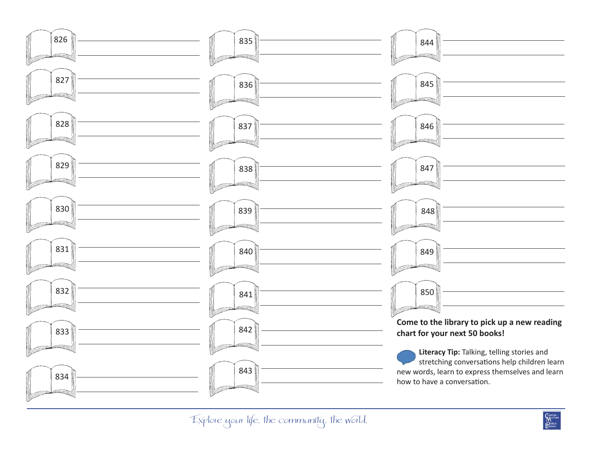

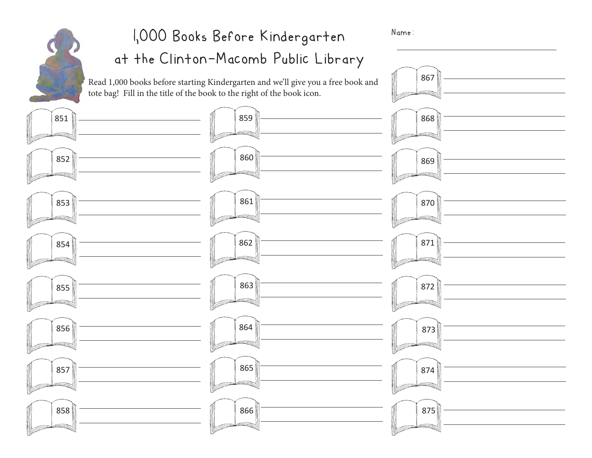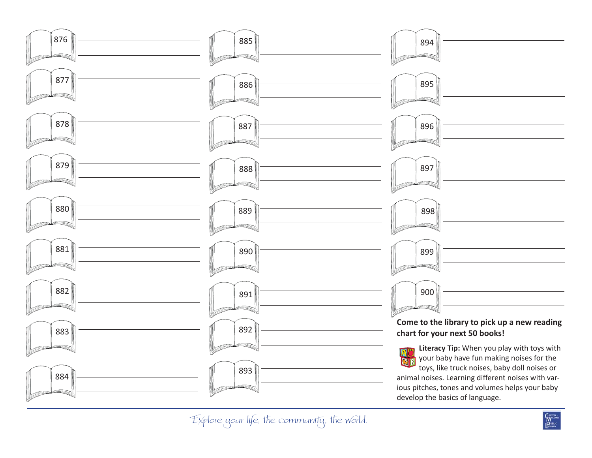

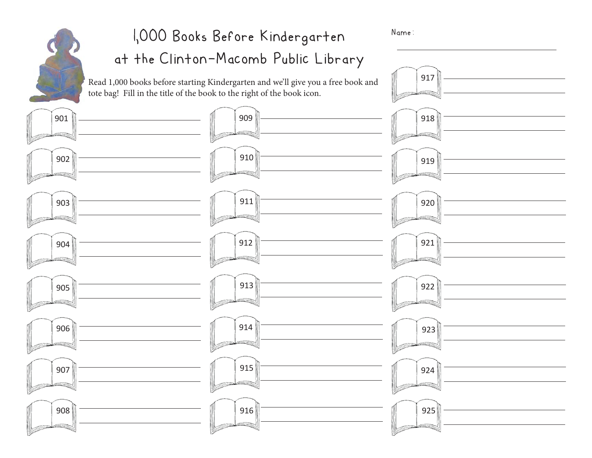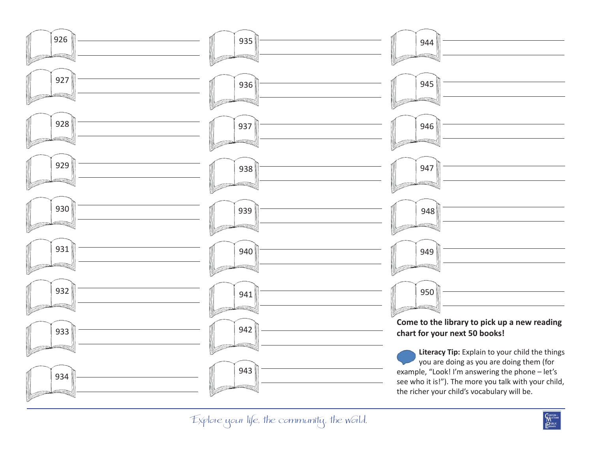

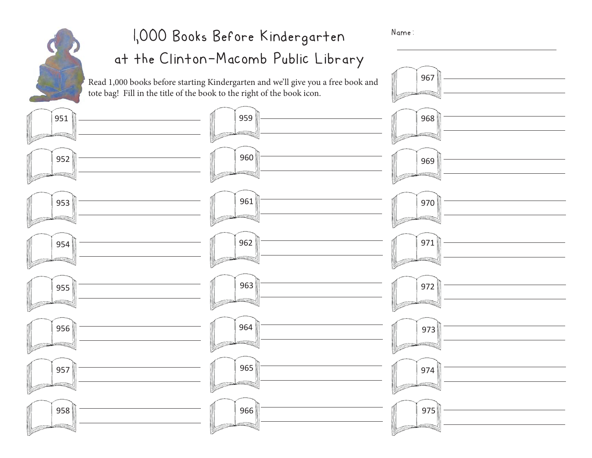